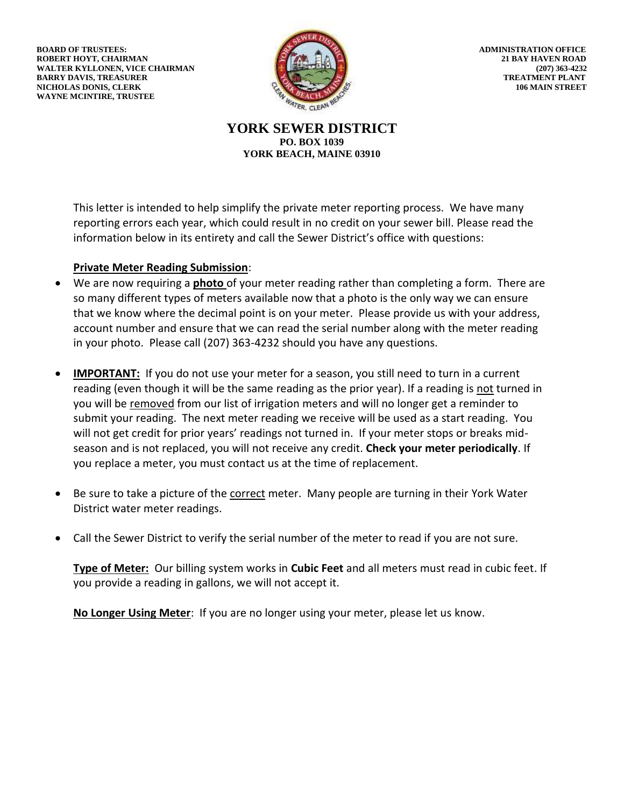**BOARD OF TRUSTEES:** ADMINISTRATION OFFICE **ROBERT HOYT, CHAIRMAN 21 BAY HAVEN ROAD** WALTER KYLLONEN, VICE CHAIRMAN (207) 363-4232<br>BARRY DAVIS, TREASURER (207) 263-4232 **BARRY DAVIS, TREASURER NICHOLAS DONIS, CLERK 106 MAIN STREET WAYNE MCINTIRE, TRUSTEE**



**YORK SEWER DISTRICT PO. BOX 1039 YORK BEACH, MAINE 03910**

This letter is intended to help simplify the private meter reporting process. We have many reporting errors each year, which could result in no credit on your sewer bill. Please read the information below in its entirety and call the Sewer District's office with questions:

## **Private Meter Reading Submission**:

- We are now requiring a **photo** of your meter reading rather than completing a form. There are so many different types of meters available now that a photo is the only way we can ensure that we know where the decimal point is on your meter. Please provide us with your address, account number and ensure that we can read the serial number along with the meter reading in your photo. Please call (207) 363-4232 should you have any questions.
- **IMPORTANT:** If you do not use your meter for a season, you still need to turn in a current reading (even though it will be the same reading as the prior year). If a reading is not turned in you will be removed from our list of irrigation meters and will no longer get a reminder to submit your reading. The next meter reading we receive will be used as a start reading. You will not get credit for prior years' readings not turned in. If your meter stops or breaks midseason and is not replaced, you will not receive any credit. **Check your meter periodically**. If you replace a meter, you must contact us at the time of replacement.
- Be sure to take a picture of the correct meter. Many people are turning in their York Water District water meter readings.
- Call the Sewer District to verify the serial number of the meter to read if you are not sure.

**Type of Meter:** Our billing system works in **Cubic Feet** and all meters must read in cubic feet. If you provide a reading in gallons, we will not accept it.

**No Longer Using Meter**: If you are no longer using your meter, please let us know.